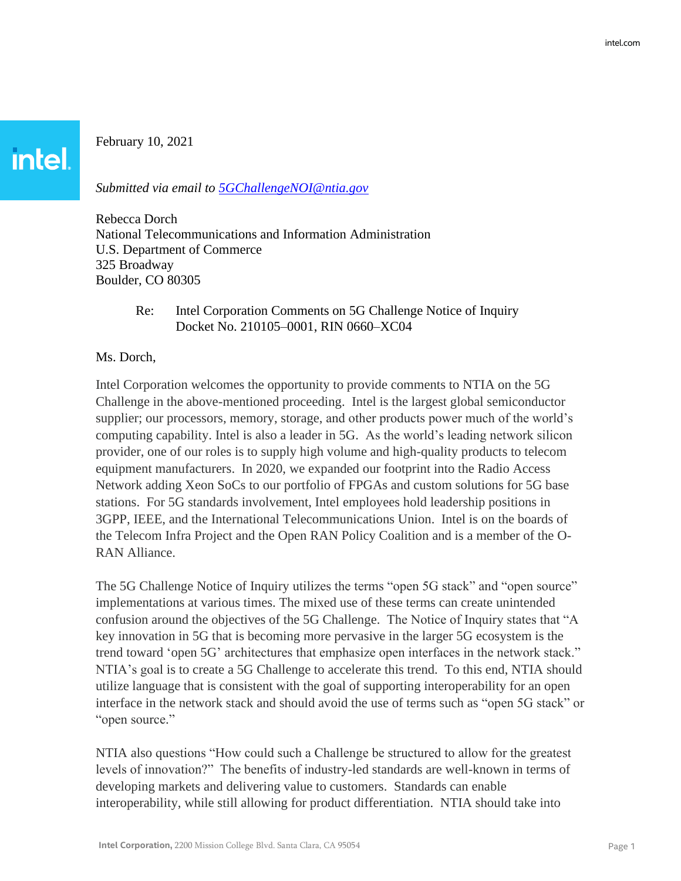February 10, 2021

**intel.** 

*Submitted via email to [5GChallengeNOI@ntia.gov](mailto:5GChallengeNOI@ntia.gov)*

Rebecca Dorch National Telecommunications and Information Administration U.S. Department of Commerce 325 Broadway Boulder, CO 80305

## Re: Intel Corporation Comments on 5G Challenge Notice of Inquiry Docket No. 210105–0001, RIN 0660–XC04

#### Ms. Dorch,

Intel Corporation welcomes the opportunity to provide comments to NTIA on the 5G Challenge in the above-mentioned proceeding. Intel is the largest global semiconductor supplier; our processors, memory, storage, and other products power much of the world's computing capability. Intel is also a leader in 5G. As the world's leading network silicon provider, one of our roles is to supply high volume and high-quality products to telecom equipment manufacturers. In 2020, we expanded our footprint into the Radio Access Network adding Xeon SoCs to our portfolio of FPGAs and custom solutions for 5G base stations. For 5G standards involvement, Intel employees hold leadership positions in 3GPP, IEEE, and the International Telecommunications Union. Intel is on the boards of the Telecom Infra Project and the Open RAN Policy Coalition and is a member of the O-RAN Alliance.

The 5G Challenge Notice of Inquiry utilizes the terms "open 5G stack" and "open source" implementations at various times. The mixed use of these terms can create unintended confusion around the objectives of the 5G Challenge. The Notice of Inquiry states that "A key innovation in 5G that is becoming more pervasive in the larger 5G ecosystem is the trend toward 'open 5G' architectures that emphasize open interfaces in the network stack." NTIA's goal is to create a 5G Challenge to accelerate this trend. To this end, NTIA should utilize language that is consistent with the goal of supporting interoperability for an open interface in the network stack and should avoid the use of terms such as "open 5G stack" or "open source."

NTIA also questions "How could such a Challenge be structured to allow for the greatest levels of innovation?" The benefits of industry-led standards are well-known in terms of developing markets and delivering value to customers. Standards can enable interoperability, while still allowing for product differentiation. NTIA should take into